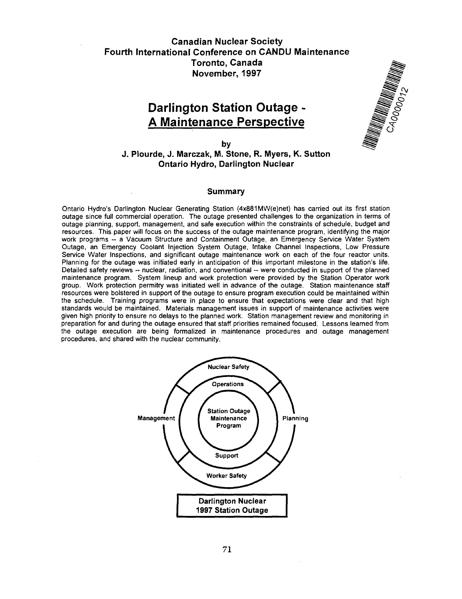## Canadian Nuclear Society Fourth International Conference on CANDU Maintenance Toronto, Canada November, 1997

# **Darlington Station Outage - A Maintenance Perspective**



**by**

**J. Plourde, J. Marczak, M. Stone, R. Myers, K. Sutton Ontario Hydro, Darlington Nuclear**

#### Summary

Ontario Hydro's Darlington Nuclear Generating Station (4x881MW(e)net) has carried out its first station outage since full commercial operation. The outage presented challenges to the organization in terms of outage planning, support, management, and safe execution within the constraints of schedule, budget and resources. This paper will focus on the success of the outage maintenance program, identifying the major work programs - a Vacuum Structure and Containment Outage, an Emergency Service Water System Outage, an Emergency Coolant Injection System Outage, Intake Channel Inspections, Low Pressure Service Water Inspections, and significant outage maintenance work on each of the four reactor units. Planning for the outage was initiated early in anticipation of this important milestone in the station's life. Detailed safety reviews -- nuclear, radiation, and conventional -- were conducted in support of the planned maintenance program. System lineup and work protection were provided by the Station Operator work group. Work protection permitry was initiated well in advance of the outage. Station maintenance staff resources were bolstered in support of the outage to ensure program execution could be maintained within the schedule. Training programs were in place to ensure that expectations were clear and that high standards would be maintained. Materials management issues in support of maintenance activities were given high priority to ensure no delays to the planned work. Station management review and monitoring in preparation for and during the outage ensured that staff priorities remained focused. Lessons learned from the outage execution are being formalized in maintenance procedures and outage management procedures, and shared with the nuclear community.

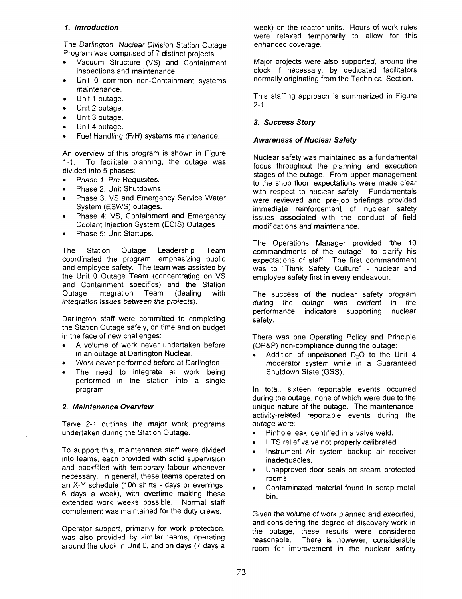## **1. Introduction**

The Darlington Nuclear Division Station Outage Program was comprised of 7 distinct projects:

- Vacuum Structure (VS) and Containment inspections and maintenance.
- Unit 0 common non-Containment systems maintenance.
- Unit 1 outage.
- Unit 2 outage.
- Unit 3 outage.
- Unit 4 outage.
- Fuel Handling (F/H) systems maintenance.

An overview of this program is shown in Figure 1-1. To facilitate planning, the outage was divided into 5 phases:

- Phase 1: Pre-Requisites.
- Phase 2: Unit Shutdowns.
- Phase 3: VS and Emergency Service Water System (ESWS) outages.
- Phase 4: VS, Containment and Emergency Coolant Injection System (ECIS) Outages
- Phase 5: Unit Startups.

The Station Outage Leadership Team coordinated the program, emphasizing public and employee safety. The team was assisted by the Unit 0 Outage Team (concentrating on VS and Containment specifics) and the Station Outage Integration Team (dealing with integration issues between the projects).

Darlington staff were committed to completing the Station Outage safely, on time and on budget in the face of new challenges:

- A volume of work never undertaken before in an outage at Darlington Nuclear.
- Work never performed before at Darlington.
- The need to integrate all work being performed in the station into a single program.

#### **2. Maintenance Overview**

Table 2-1 outlines the major work programs undertaken during the Station Outage.

To support this, maintenance staff were divided into teams, each provided with solid supervision and backfilled with temporary labour whenever necessary. In general, these teams operated on an X-Y schedule (10h shifts - days or evenings, 6 days a week), with overtime making these extended work weeks possible. Normal staff complement was maintained for the duty crews.

Operator support, primarily for work protection, was also provided by similar teams, operating around the clock in Unit 0, and on days (7 days a week) on the reactor units. Hours of work rules were relaxed temporarily to allow for this enhanced coverage.

Major projects were also supported, around the clock if necessary, by dedicated facilitators normally originating from the Technical Section.

This staffing approach is summarized in Figure  $2 - 1$ .

## **3. Success Story**

#### **Awareness of Nuclear Safety**

Nuclear safety was maintained as a fundamental focus throughout the planning and execution stages of the outage. From upper management to the shop floor, expectations were made clear with respect to nuclear safety. Fundamentals were reviewed and pre-job briefings provided immediate reinforcement of nuclear safety issues associated with the conduct of field modifications and maintenance.

The Operations Manager provided "the 10 commandments of the outage", to clarify his expectations of staff. The first commandment was to "Think Safety Culture" - nuclear and employee safety first in every endeavour.

The success of the nuclear safety program during the outage was evident in the performance indicators supporting nuclear safety.

There was one Operating Policy and Principle (OP&P) non-compliance during the outage:

Addition of unpoisoned  $D_2O$  to the Unit 4 moderator system while in a Guaranteed Shutdown State (GSS).

In total, sixteen reportable events occurred during the outage, none of which were due to the unique nature of the outage. The maintenanceactivity-related reportable events during the outage were:

- Pinhole leak identified in a valve weld.
- HTS relief valve not properly calibrated.
- Instrument Air system backup air receiver inadequacies.
- Unapproved door seals on steam protected rooms.
- Contaminated material found in scrap metal bin.

Given the volume of work planned and executed, and considering the degree of discovery work in the outage, these results were considered reasonable. There is however, considerable room for improvement in the nuclear safety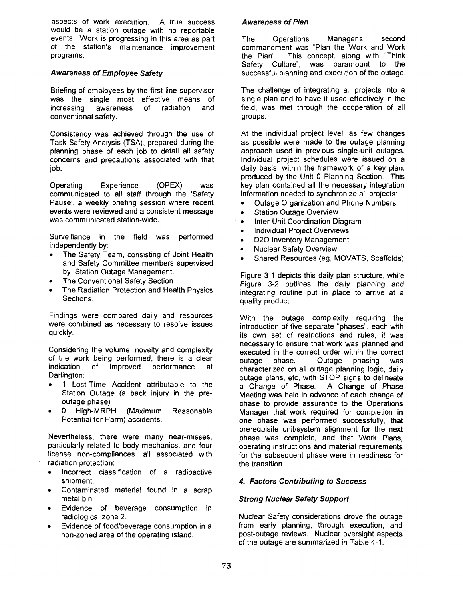aspects of work execution. A true success would be a station outage with no reportable events. Work is progressing in this area as part of the station's maintenance improvement programs.

## **Awareness of Employee Safety**

Briefing of employees by the first line supervisor was the single most effective means of increasing awareness of radiation and conventional safety.

Consistency was achieved through the use of Task Safety Analysis (TSA), prepared during the planning phase of each job to detail all safety concerns and precautions associated with that job.

Operating Experience (OPEX) was communicated to all staff through the 'Safety Pause', **a** weekly briefing session where recent events were reviewed and a consistent message was communicated station-wide.

Surveillance in the field was performed independently by:

- The Safety Team, consisting of Joint Health and Safety Committee members supervised by Station Outage Management.
- The Conventional Safety Section
- The Radiation Protection and Health Physics Sections.

Findings were compared daily and resources were combined as necessary to resolve issues quickly.

Considering the volume, novelty and complexity of the work being performed, there is a clear<br>indication of improved performance at of improved performance at Darlington:

- 1 Lost-Time Accident attributable to the Station Outage (a back injury in the preoutage phase)
- 0 High-MRPH (Maximum Reasonable Potential for Harm) accidents.

Nevertheless, there were many near-misses, particularly related to body mechanics, and four license non-compliances, all associated with radiation protection:

- Incorrect classification of a radioactive shipment.
- Contaminated material found in a scrap metal bin.
- Evidence of beverage consumption in radiological zone 2.
- Evidence of food/beverage consumption in a non-zoned area of the operating island.

#### **Awareness of Plan**

The Operations Manager's second commandment was "Plan the Work and Work the Plan". This concept, along with "Think Safety Culture", was paramount to the successful planning and execution of the outage.

The challenge of integrating all projects into a single plan and to have it used effectively in the field, was met through the cooperation of all groups.

At the individual project level, as few changes as possible were made to the outage planning approach used in previous single-unit outages. Individual project schedules were issued on a daily basis, within the framework of a key plan, produced by the Unit 0 Planning Section. This key plan contained all the necessary integration information needed to synchronize all projects:

- Outage Organization and Phone Numbers
- Station Outage Overview
- Inter-Unit Coordination Diagram
- Individual Project Overviews
- D2O Inventory Management
- Nuclear Safety Overview
- Shared Resources (eg, MOVATS, Scaffolds)

Figure 3-1 depicts this daily plan structure, while Figure 3-2 outlines the daily planning and integrating routine put in place to arrive at a quality product.

With the outage complexity requiring the introduction of five separate "phases", each with its own set of restrictions and rules, it was necessary to ensure that work was planned and executed in the correct order within the correct<br>outage phase. Outage phasing was outage phase. Outage phasing was characterized on all outage planning logic, daily outage plans, etc, with STOP signs to delineate a Change of Phase. Meeting was held in advance of each change of phase to provide assurance to the Operations Manager that work required for completion in one phase was performed successfully, that prerequisite unit/system alignment for the next phase was complete, and that Work Plans, operating instructions and material requirements for the subsequent phase were in readiness for the transition.

## **4. Factors Contributing to Success**

## **Strong Nuclear Safety Support**

Nuclear Safety considerations drove the outage from early planning, through execution, and post-outage reviews. Nuclear oversight aspects of the outage are summarized in Table 4-1.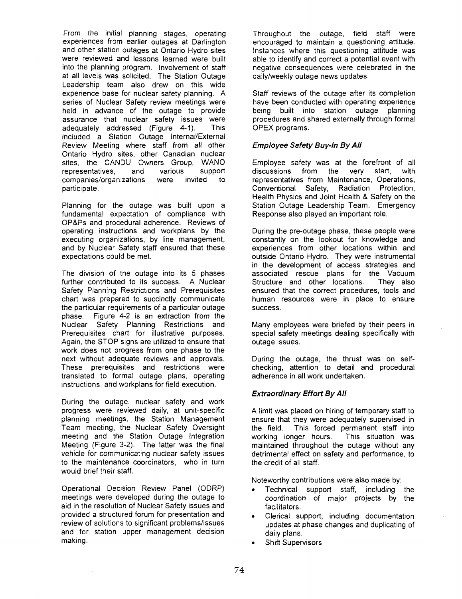From the initial planning stages, operating experiences from earlier outages at Darlington and other station outages at Ontario Hydro sites were reviewed and lessons learned were built into the planning program. Involvement of staff at all levels was solicited. The Station Outage Leadership team also drew on this wide experience base for nuclear safety planning. A series of Nuclear Safety review meetings were held in advance of the outage to provide assurance that nuclear safety issues were adequately addressed (Figure 4-1). This included a Station Outage Internal/External Review Meeting where staff from all other Ontario Hydro sites, other Canadian nuclear sites, the CANDU Owners Group, WANO representatives, and various support companies/organizations were invited to participate.

Planning for the outage was built upon a fundamental expectation of compliance with OP&Ps and procedural adherence. Reviews of operating instructions and workplans by the executing organizations, by line management, and by Nuclear Safety staff ensured that these expectations could be met.

The division of the outage into its 5 phases further contributed to its success. A Nuclear Safety Planning Restrictions and Prerequisites chart was prepared to succinctly communicate the particular requirements of a particular outage phase. Figure 4-2 is an extraction from the Nuclear Safety Planning Restrictions and Prerequisites chart for illustrative purposes. Again, the STOP signs are utilized to ensure that work does not progress from one phase to the next without adequate reviews and approvals. These prerequisites and restrictions were translated to formal outage plans, operating instructions, and workplans for field execution.

During the outage, nuclear safety and work progress were reviewed daily, at unit-specific planning meetings, the Station Management Team meeting, the Nuclear Safety Oversight meeting and the Station Outage Integration Meeting (Figure 3-2). The latter was the final vehicle for communicating nuclear safety issues to the maintenance coordinators, who in turn would brief their staff.

Operational Decision Review Panel (ODRP) meetings were developed during the outage to aid in the resolution of Nuclear Safety issues and provided a structured forum for presentation and review of solutions to significant problems/issues and for station upper management decision making.

Throughout the outage, field staff were encouraged to maintain a questioning attitude. Instances where this questioning attitude was able to identify and correct a potential event with negative consequences were celebrated in the daily/weekly outage news updates.

Staff reviews of the outage after its completion have been conducted with operating experience being built into station outage planning procedures and shared externally through formal OPEX programs.

## **Employee Safety Buy-In By All**

Employee safety was at the forefront of all discussions from the very start, with representatives from Maintenance, Operations, Conventional Safety, Radiation Protection, Health Physics and Joint Health & Safety on the Station Outage Leadership Team. Emergency Response also played an important role.

During the pre-outage phase, these people were constantly on the lookout for knowledge and experiences from other locations within and outside Ontario Hydro. They were instrumental in the development of access strategies and associated rescue plans for the Vacuum Structure and other locations. They also ensured that the correct procedures, tools and human resources were in place to ensure success.

Many employees were briefed by their peers in special safety meetings dealing specifically with outage issues.

During the outage, the thrust was on selfchecking, attention to detail and procedural adherence in all work undertaken.

## **Extraordinary Effort By All**

A limit was placed on hiring of temporary staff to ensure that they were adequately supervised in the field. This forced permanent staff into working longer hours. This situation was maintained throughout the outage without any detrimental effect on safety and performance, to the credit of all staff.

Noteworthy contributions were also made by:

- Technical support staff, including the coordination of major projects by the facilitators.
- Clerical support, including documentation updates at phase changes and duplicating of daily plans.
- Shift Supervisors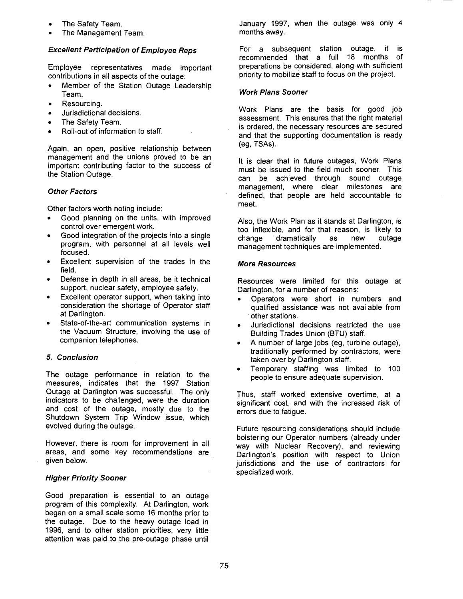- The Safety Team.
- The Management Team.

#### **Excellent Participation of Employee Reps**

Employee representatives made important contributions in all aspects of the outage:

- Member of the Station Outage Leadership Team.
- Resourcing.
- Jurisdictional decisions.
- The Safety Team.
- Roll-out of information to staff.

Again, an open, positive relationship between management and the unions proved to be an important contributing factor to the success of the Station Outage.

## **Other Factors**

Other factors worth noting include:

- Good planning on the units, with improved control over emergent work.
- Good integration of the projects into a single program, with personnel at all levels well focused.
- Excellent supervision of the trades in the field.
- Defense in depth in all areas, be it technical support, nuclear safety, employee safety.
- Excellent operator support, when taking into consideration the shortage of Operator staff at Darlington.
- State-of-the-art communication systems in the Vacuum Structure, involving the use of companion telephones.

#### **5. Conclusion**

The outage performance in relation to the measures, indicates that the 1997 Station Outage at Darlington was successful. The only indicators to be challenged, were the duration and cost of the outage, mostly due to the Shutdown System Trip Window issue, which evolved during the outage.

However, there is room for improvement in all areas, and some key recommendations are given below.

#### **Higher Priority Sooner**

Good preparation is essential to an outage program of this complexity. At Darlington, work began on a small scale some 16 months prior to the outage. Due to the heavy outage load in 1996, and to other station priorities, very little attention was paid to the pre-outage phase until January 1997, when the outage was only 4 months away.

For a subsequent station outage, it is recommended that a full 18 months of preparations be considered, along with sufficient priority to mobilize staff to focus on the project.

## **Work Plans Sooner**

Work Plans are the basis for good job assessment. This ensures that the right material is ordered, the necessary resources are secured and that the supporting documentation is ready (eg, TSAs).

It is clear that in future outages, Work Plans must be issued to the field much sooner. This can be achieved through sound outage management, where clear milestones are defined, that people are held accountable to meet.

Also, the Work Plan as it stands at Darlington, is too inflexible, and for that reason, is likely to<br>change chamatically as new outage change dramatically as new outage management techniques are implemented.

#### **More Resources**

Resources were limited for this outage at Darlington, for a number of reasons:

- Operators were short in numbers and qualified assistance was not available from other stations.
- Jurisdictional decisions restricted the use Building Trades Union (BTU) staff.
- A number of large jobs (eg, turbine outage), traditionally performed by contractors, were taken over by Darlington staff.
- Temporary staffing was limited to 100 people to ensure adequate supervision.

Thus, staff worked extensive overtime, at a significant cost, and with the increased risk of errors due to fatigue.

Future resourcing considerations should include bolstering our Operator numbers (already under way with Nuclear Recovery), and reviewing Darlington's position with respect to Union jurisdictions and the use of contractors for specialized work.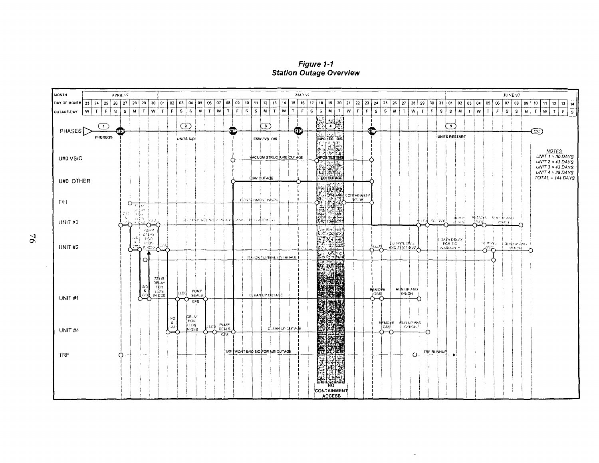Figure 1-1 **Station Outage Overview** 



 $\ddot{\phantom{a}}$ 

 $\geq$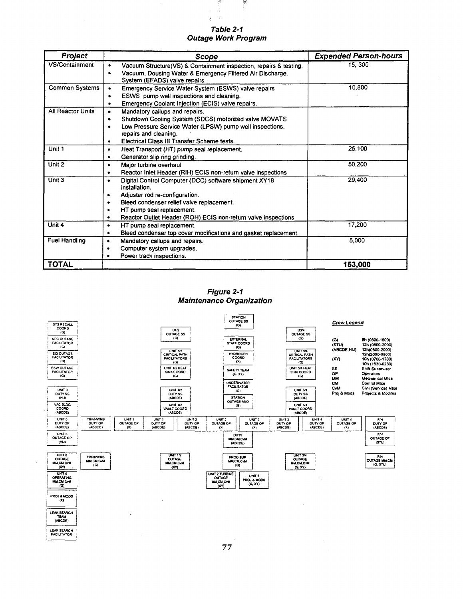| <b>Project</b>           | <b>Scope</b>                                                           | <b>Expended Person-hours</b> |
|--------------------------|------------------------------------------------------------------------|------------------------------|
| VS/Containment           | Vacuum Structure(VS) & Containment inspection, repairs & testing.<br>٠ | 15, 300                      |
|                          | Vacuum, Dousing Water & Emergency Filtered Air Discharge.<br>$\bullet$ |                              |
|                          | System (EFADS) valve repairs.                                          |                              |
| <b>Common Systems</b>    | Emergency Service Water System (ESWS) valve repairs<br>٠               | 10,800                       |
|                          | ESWS pump well inspections and cleaning.<br>٠                          |                              |
|                          | Emergency Coolant Injection (ECIS) valve repairs.<br>٠                 |                              |
| <b>All Reactor Units</b> | Mandatory callups and repairs.<br>٠                                    |                              |
|                          | Shutdown Cooling System (SDCS) motorized valve MOVATS<br>$\bullet$     |                              |
|                          | Low Pressure Service Water (LPSW) pump well inspections,<br>٠          |                              |
|                          | repairs and cleaning.                                                  |                              |
|                          | Electrical Class III Transfer Scheme tests.<br>٠                       |                              |
| Unit 1                   | Heat Transport (HT) pump seal replacement.<br>٠                        | 25,100                       |
|                          | Generator slip ring grinding.<br>٠                                     |                              |
| Unit 2                   | Major turbine overhaul<br>٠                                            | 50,200                       |
|                          | Reactor Inlet Header (RIH) ECIS non-return valve inspections<br>٠      |                              |
| Unit 3                   | Digital Control Computer (DCC) software shipment XY18<br>٠             | 29,400                       |
|                          | installation.                                                          |                              |
|                          | Adjuster rod re-configuration.<br>٠                                    |                              |
|                          | Bleed condenser relief valve replacement.<br>٠                         |                              |
|                          | HT pump seal replacement.<br>٠                                         |                              |
|                          | Reactor Outlet Header (ROH) ECIS non-return valve inspections          |                              |
| Unit 4                   | HT pump seal replacement.<br>٠                                         | 17,200                       |
|                          | Bleed condenser top cover modifications and gasket replacement.<br>٠   |                              |
| <b>Fuel Handling</b>     | Mandatory callups and repairs.<br>٠                                    | 5,000                        |
|                          | Computer system upgrades.                                              |                              |
|                          | Power track inspections.                                               |                              |
| <b>TOTAL</b>             |                                                                        | 153,000                      |

**Table 2-1 Outage Work Program**

함

ķ,

蒸

**Figure 2-1 Maintenance Organization**

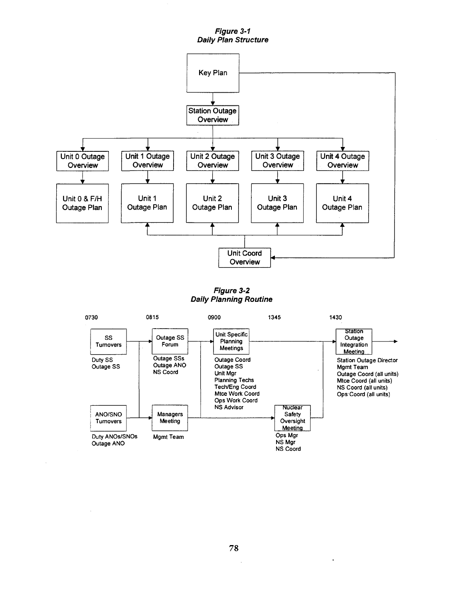**Figure 3-1 Daily Plan Structure**



**Figure 3-2 Daily Planning Routine**

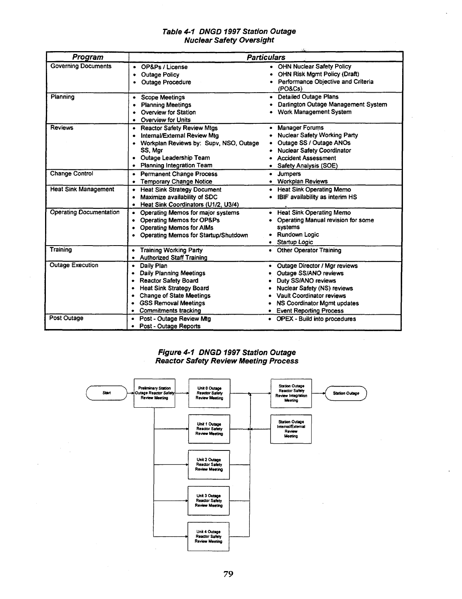### **Table 4-1 DNGD 1997 Station Outage Nuclear Safety Oversight**

L.

| Program                        | <b>Particulars</b>                                                                                                                                                                                                                                     |                                                                                                                                                                                                       |
|--------------------------------|--------------------------------------------------------------------------------------------------------------------------------------------------------------------------------------------------------------------------------------------------------|-------------------------------------------------------------------------------------------------------------------------------------------------------------------------------------------------------|
| <b>Governing Documents</b>     | OP&Ps / License<br>$\bullet$<br><b>Outage Policy</b><br>٠<br><b>Outage Procedure</b>                                                                                                                                                                   | • OHN Nuclear Safety Policy<br><b>OHN Risk Mgmt Policy (Draft)</b><br>Performance Objective and Criteria<br>(PO&Cs)                                                                                   |
| Planning                       | <b>Scope Meetings</b><br>٠<br><b>Planning Meetings</b><br>Overview for Station<br>Overview for Units<br>٠                                                                                                                                              | • Detailed Outage Plans<br>Darlington Outage Management System<br>Work Management System                                                                                                              |
| <b>Reviews</b>                 | • Reactor Safety Review Mtgs<br>Internal/External Review Mtg<br>٠<br>• Workplan Reviews by: Supv, NSO, Outage<br>SS, Mar<br>Outage Leadership Team<br>٠<br>Planning Integration Team                                                                   | <b>Manager Forums</b><br>$\bullet$<br><b>Nuclear Safety Working Party</b><br>Outage SS / Outage ANOs<br><b>Nuclear Safety Coordinator</b><br><b>Accident Assessment</b><br>Safety Analysis (SOE)      |
| <b>Change Control</b>          | • Permanent Change Process<br>• Temporary Change Notice                                                                                                                                                                                                | <b>Jumpers</b><br>٠<br><b>Workplan Reviews</b><br>٠                                                                                                                                                   |
| <b>Heat Sink Management</b>    | <b>Heat Sink Strategy Document</b><br>٠<br>Maximize availability of SDC<br>٠<br>Heat Sink Coordinators (U1/2, U3/4)<br>٠                                                                                                                               | • Heat Sink Operating Memo<br>IBIF availability as interim HS<br>٠                                                                                                                                    |
| <b>Operating Documentation</b> | Operating Memos for major systems<br><b>Operating Memos for OP&amp;Ps</b><br>$\bullet$<br>• Operating Memos for AIMs<br>• Operating Mernos for Startup/Shutdown                                                                                        | <b>Heat Sink Operating Memo</b><br>٠<br>Operating Manual revision for some<br>۰<br>systems<br>• Rundown Logic<br>· Startup Logic                                                                      |
| Training                       | • Training Working Party<br>• Authorized Staff Training                                                                                                                                                                                                | • Other Operator Training                                                                                                                                                                             |
| <b>Outage Execution</b>        | Daily Plan<br>$\bullet$<br><b>Daily Planning Meetings</b><br>$\bullet$<br><b>Reactor Safety Board</b><br>٠<br><b>Heat Sink Strategy Board</b><br>٠<br><b>Change of State Meetings</b><br>$\bullet$<br>• GSS Removal Meetings<br>• Commitments tracking | Outage Director / Mgr reviews<br>Outage SS/ANO reviews<br>Duty SS/ANO reviews<br>Nuclear Safety (NS) reviews<br>Vault Coordinator reviews<br>NS Coordinator Mgmt updates<br>• Event Reporting Process |
| Post Outage                    | • Post - Outage Review Mtg<br>Post - Outage Reports<br>٠                                                                                                                                                                                               | • OPEX - Build into procedures                                                                                                                                                                        |

**Figure 4-1 DNGD 1997 Station Outage Reactor Safety Review Meeting Process**